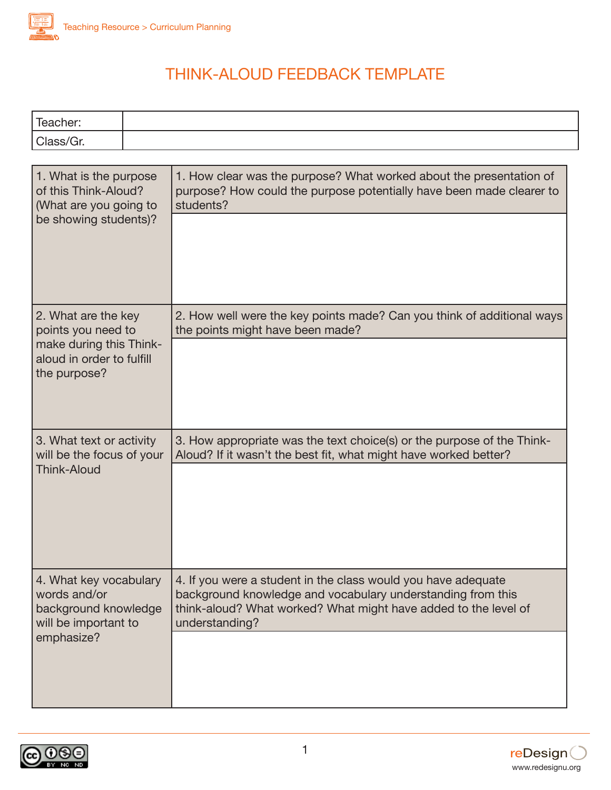

## THINK-ALOUD FEEDBACK TEMPLATE

| --     |  |
|--------|--|
| $\sim$ |  |

| 1. What is the purpose<br>of this Think-Aloud?<br>(What are you going to<br>be showing students)?                 | 1. How clear was the purpose? What worked about the presentation of<br>purpose? How could the purpose potentially have been made clearer to<br>students?                                                          |
|-------------------------------------------------------------------------------------------------------------------|-------------------------------------------------------------------------------------------------------------------------------------------------------------------------------------------------------------------|
| 2. What are the key<br>points you need to<br>make during this Think-<br>aloud in order to fulfill<br>the purpose? | 2. How well were the key points made? Can you think of additional ways<br>the points might have been made?                                                                                                        |
| 3. What text or activity<br>will be the focus of your<br><b>Think-Aloud</b>                                       | 3. How appropriate was the text choice(s) or the purpose of the Think-<br>Aloud? If it wasn't the best fit, what might have worked better?                                                                        |
| 4. What key vocabulary<br>words and/or<br>background knowledge<br>will be important to<br>emphasize?              | 4. If you were a student in the class would you have adequate<br>background knowledge and vocabulary understanding from this<br>think-aloud? What worked? What might have added to the level of<br>understanding? |